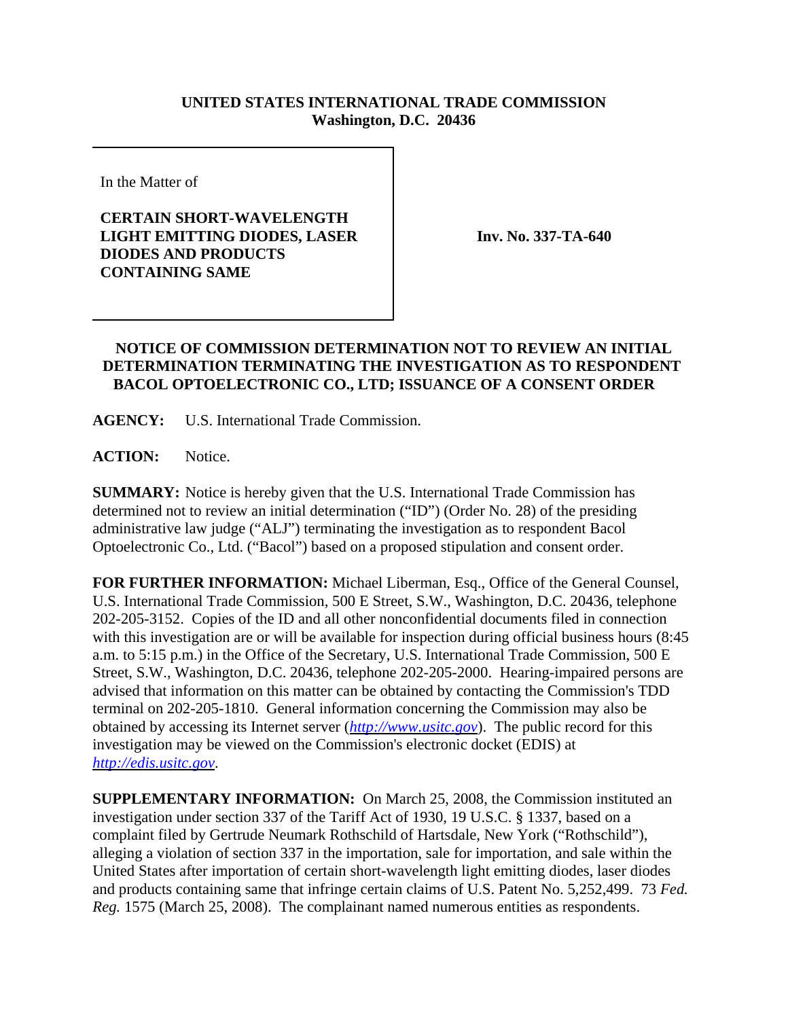## **UNITED STATES INTERNATIONAL TRADE COMMISSION Washington, D.C. 20436**

In the Matter of

## **CERTAIN SHORT-WAVELENGTH LIGHT EMITTING DIODES, LASER DIODES AND PRODUCTS CONTAINING SAME**

**Inv. No. 337-TA-640**

## **NOTICE OF COMMISSION DETERMINATION NOT TO REVIEW AN INITIAL DETERMINATION TERMINATING THE INVESTIGATION AS TO RESPONDENT BACOL OPTOELECTRONIC CO., LTD; ISSUANCE OF A CONSENT ORDER**

**AGENCY:** U.S. International Trade Commission.

**ACTION:** Notice.

**SUMMARY:** Notice is hereby given that the U.S. International Trade Commission has determined not to review an initial determination ("ID") (Order No. 28) of the presiding administrative law judge ("ALJ") terminating the investigation as to respondent Bacol Optoelectronic Co., Ltd. ("Bacol") based on a proposed stipulation and consent order.

**FOR FURTHER INFORMATION:** Michael Liberman, Esq., Office of the General Counsel, U.S. International Trade Commission, 500 E Street, S.W., Washington, D.C. 20436, telephone 202-205-3152. Copies of the ID and all other nonconfidential documents filed in connection with this investigation are or will be available for inspection during official business hours (8:45 a.m. to 5:15 p.m.) in the Office of the Secretary, U.S. International Trade Commission, 500 E Street, S.W., Washington, D.C. 20436, telephone 202-205-2000. Hearing-impaired persons are advised that information on this matter can be obtained by contacting the Commission's TDD terminal on 202-205-1810. General information concerning the Commission may also be obtained by accessing its Internet server (*http://www.usitc.gov*). The public record for this investigation may be viewed on the Commission's electronic docket (EDIS) at *http://edis.usitc.gov*.

**SUPPLEMENTARY INFORMATION:** On March 25, 2008, the Commission instituted an investigation under section 337 of the Tariff Act of 1930, 19 U.S.C. § 1337, based on a complaint filed by Gertrude Neumark Rothschild of Hartsdale, New York ("Rothschild"), alleging a violation of section 337 in the importation, sale for importation, and sale within the United States after importation of certain short-wavelength light emitting diodes, laser diodes and products containing same that infringe certain claims of U.S. Patent No. 5,252,499. 73 *Fed. Reg.* 1575 (March 25, 2008). The complainant named numerous entities as respondents.